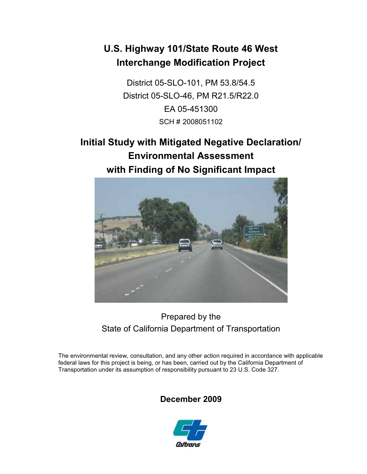# **U.S. Highway 101/State Route 46 West Interchange Modification Project**

District 05-SLO-101, PM 53.8/54.5 District 05-SLO-46, PM R21.5/R22.0 EA 05-451300 SCH # 2008051102

# **Initial Study with Mitigated Negative Declaration/ Environmental Assessment with Finding of No Significant Impact**



## Prepared by the State of California Department of Transportation

The environmental review, consultation, and any other action required in accordance with applicable federal laws for this project is being, or has been, carried out by the California Department of Transportation under its assumption of responsibility pursuant to 23 U.S. Code 327.

## **December 2009**

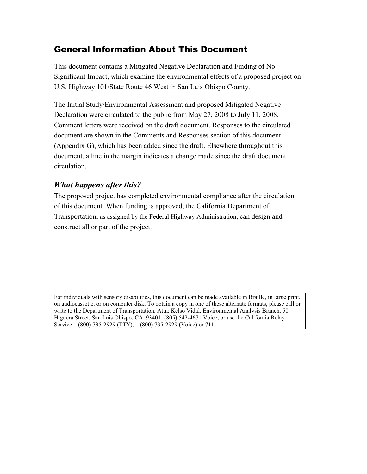### General Information About This Document

This document contains a Mitigated Negative Declaration and Finding of No Significant Impact, which examine the environmental effects of a proposed project on U.S. Highway 101/State Route 46 West in San Luis Obispo County.

The Initial Study/Environmental Assessment and proposed Mitigated Negative Declaration were circulated to the public from May 27, 2008 to July 11, 2008. Comment letters were received on the draft document. Responses to the circulated document are shown in the Comments and Responses section of this document (Appendix G), which has been added since the draft. Elsewhere throughout this document, a line in the margin indicates a change made since the draft document circulation.

#### *What happens after this?*

The proposed project has completed environmental compliance after the circulation of this document. When funding is approved, the California Department of Transportation, as assigned by the Federal Highway Administration, can design and construct all or part of the project.

For individuals with sensory disabilities, this document can be made available in Braille, in large print, on audiocassette, or on computer disk. To obtain a copy in one of these alternate formats, please call or write to the Department of Transportation, Attn: Kelso Vidal, Environmental Analysis Branch, 50 Higuera Street, San Luis Obispo, CA 93401; (805) 542-4671 Voice, or use the California Relay Service 1 (800) 735-2929 (TTY), 1 (800) 735-2929 (Voice) or 711.